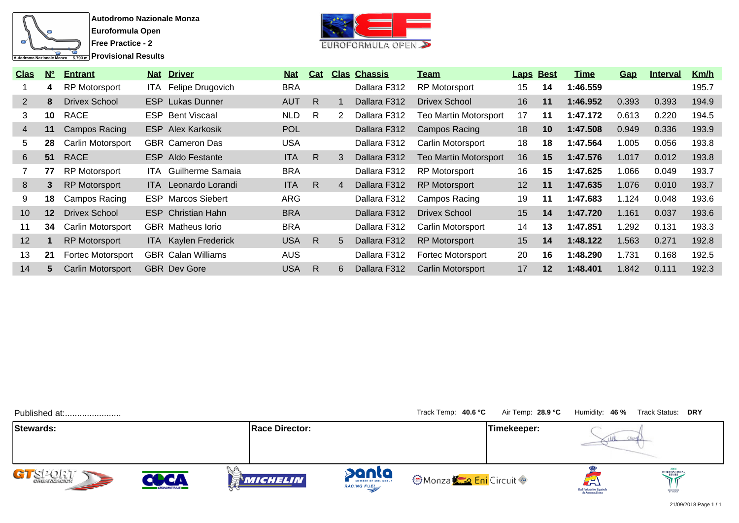



| <b>Clas</b>           | N <sup>o</sup> | <b>Entrant</b>           |       | <b>Nat Driver</b>           | <b>Nat</b> | Cat |   | <b>Clas Chassis</b> | <u>Team</u>                  | <b>Laps Best</b> |                 | Time     | <b>Gap</b> | <b>Interval</b> | <u>Km/h</u> |
|-----------------------|----------------|--------------------------|-------|-----------------------------|------------|-----|---|---------------------|------------------------------|------------------|-----------------|----------|------------|-----------------|-------------|
|                       | 4              | <b>RP Motorsport</b>     | ITA I | Felipe Drugovich            | <b>BRA</b> |     |   | Dallara F312        | <b>RP Motorsport</b>         | 15               | 14              | 1:46.559 |            |                 | 195.7       |
| $\mathbf{2}^{\prime}$ | 8              | Drivex School            |       | <b>ESP</b> Lukas Dunner     | <b>AUT</b> | R.  |   | Dallara F312        | Drivex School                | 16               | 11              | 1:46.952 | 0.393      | 0.393           | 194.9       |
| 3                     | 10             | <b>RACE</b>              |       | <b>ESP</b> Bent Viscaal     | <b>NLD</b> | R.  | 2 | Dallara F312        | <b>Teo Martin Motorsport</b> | 17               | 11              | 1:47.172 | 0.613      | 0.220           | 194.5       |
| 4                     | 11             | Campos Racing            |       | <b>ESP</b> Alex Karkosik    | <b>POL</b> |     |   | Dallara F312        | Campos Racing                | 18               | 10 <sup>°</sup> | 1:47.508 | 0.949      | 0.336           | 193.9       |
| 5.                    | 28             | Carlin Motorsport        |       | <b>GBR</b> Cameron Das      | <b>USA</b> |     |   | Dallara F312        | Carlin Motorsport            | 18               | 18              | 1:47.564 | .005       | 0.056           | 193.8       |
| 6                     | 51             | <b>RACE</b>              |       | <b>ESP</b> Aldo Festante    | <b>ITA</b> | R.  | 3 | Dallara F312        | <b>Teo Martin Motorsport</b> | 16               | 15              | 1:47.576 | 1.017      | 0.012           | 193.8       |
|                       | 77             | <b>RP Motorsport</b>     | ITA.  | Guilherme Samaia            | <b>BRA</b> |     |   | Dallara F312        | <b>RP Motorsport</b>         | 16               | 15              | 1:47.625 | .066       | 0.049           | 193.7       |
| 8                     | 3              | <b>RP Motorsport</b>     |       | <b>ITA</b> Leonardo Lorandi | <b>ITA</b> | R.  | 4 | Dallara F312        | <b>RP Motorsport</b>         | 12 <sup>2</sup>  | 11              | 1:47.635 | 1.076      | 0.010           | 193.7       |
| 9                     | 18             | Campos Racing            |       | <b>ESP</b> Marcos Siebert   | ARG        |     |   | Dallara F312        | Campos Racing                | 19               | 11              | 1:47.683 | 1.124      | 0.048           | 193.6       |
| 10                    | $12 \,$        | Drivex School            |       | <b>ESP</b> Christian Hahn   | <b>BRA</b> |     |   | Dallara F312        | <b>Drivex School</b>         | 15               | 14              | 1:47.720 | 1.161      | 0.037           | 193.6       |
| 11                    | 34             | <b>Carlin Motorsport</b> |       | <b>GBR</b> Matheus lorio    | <b>BRA</b> |     |   | Dallara F312        | Carlin Motorsport            | 14               | 13              | 1:47.851 | .292       | 0.131           | 193.3       |
| 12                    |                | <b>RP Motorsport</b>     |       | ITA Kaylen Frederick        | <b>USA</b> | R   | 5 | Dallara F312        | <b>RP Motorsport</b>         | 15               | 14              | 1:48.122 | 1.563      | 0.271           | 192.8       |
| 13                    | 21             | Fortec Motorsport        |       | <b>GBR</b> Calan Williams   | <b>AUS</b> |     |   | Dallara F312        | <b>Fortec Motorsport</b>     | 20               | 16              | 1:48.290 | 1.731      | 0.168           | 192.5       |
| 14                    | 5.             | <b>Carlin Motorsport</b> |       | <b>GBR</b> Dev Gore         | <b>USA</b> | R   | 6 | Dallara F312        | Carlin Motorsport            | 17               | $12 \,$         | 1:48.401 | 1.842      | 0.111           | 192.3       |

| Published at:          |                     |                       |                                             | Track Temp: 40.6 °C        | Air Temp: 28.9 °C |                                              | Humidity: 46% Track Status: DRY |
|------------------------|---------------------|-----------------------|---------------------------------------------|----------------------------|-------------------|----------------------------------------------|---------------------------------|
| Stewards:              |                     | <b>Race Director:</b> |                                             |                            | Timekeeper:       |                                              |                                 |
| GT SPORT<br><b>SEP</b> | <b>CRONOMETRAJE</b> | MICHELIN              | panta<br>MEMBER OF MOL GROUP<br>RACING FUEL | <b>OMonza Cond</b> Circuit |                   | $\left( 1\right)$<br>Real Federación Español | <b>INTERNATIONAL</b><br>SERIES  |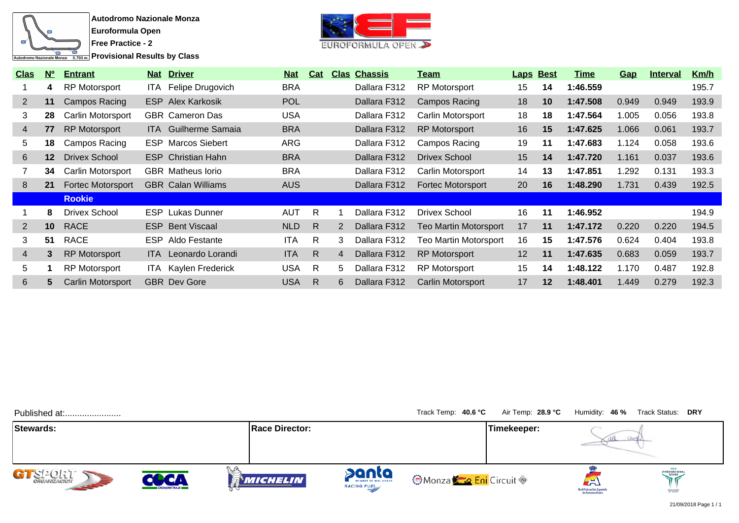

**Provisional Results by Class** 



| <u>Clas</u>    | N <sup>o</sup> | <b>Entrant</b>           |            | <b>Nat Driver</b>           | <u>Nat</u> | Cat          |                | <b>Clas Chassis</b> | <u>Team</u>                  |                 | <b>Laps Best</b> | Time     | <u>Gap</u> | <b>Interval</b> | <u>Km/h</u> |
|----------------|----------------|--------------------------|------------|-----------------------------|------------|--------------|----------------|---------------------|------------------------------|-----------------|------------------|----------|------------|-----------------|-------------|
|                | 4              | <b>RP Motorsport</b>     |            | ITA Felipe Drugovich        | <b>BRA</b> |              |                | Dallara F312        | <b>RP Motorsport</b>         | 15              | 14               | 1:46.559 |            |                 | 195.7       |
| 2              | 11             | Campos Racing            |            | <b>ESP</b> Alex Karkosik    | <b>POL</b> |              |                | Dallara F312        | Campos Racing                | 18              | 10 <sup>°</sup>  | 1:47.508 | 0.949      | 0.949           | 193.9       |
| 3              | 28             | Carlin Motorsport        |            | <b>GBR</b> Cameron Das      | <b>USA</b> |              |                | Dallara F312        | Carlin Motorsport            | 18              | 18               | 1:47.564 | 1.005      | 0.056           | 193.8       |
| $\overline{4}$ | 77             | RP Motorsport            |            | <b>ITA</b> Guilherme Samaia | <b>BRA</b> |              |                | Dallara F312        | <b>RP Motorsport</b>         | 16              | 15               | 1:47.625 | 1.066      | 0.061           | 193.7       |
| 5              | 18             | Campos Racing            | <b>ESP</b> | <b>Marcos Siebert</b>       | ARG        |              |                | Dallara F312        | Campos Racing                | 19              | 11               | 1:47.683 | 1.124      | 0.058           | 193.6       |
| 6              | $12 \,$        | <b>Drivex School</b>     |            | <b>ESP</b> Christian Hahn   | <b>BRA</b> |              |                | Dallara F312        | <b>Drivex School</b>         | 15              | 14               | 1:47.720 | 1.161      | 0.037           | 193.6       |
|                | 34             | Carlin Motorsport        |            | <b>GBR</b> Matheus lorio    | <b>BRA</b> |              |                | Dallara F312        | Carlin Motorsport            | 14              | 13               | 1:47.851 | l.292      | 0.131           | 193.3       |
| 8              | 21             | <b>Fortec Motorsport</b> |            | <b>GBR</b> Calan Williams   | <b>AUS</b> |              |                | Dallara F312        | <b>Fortec Motorsport</b>     | 20              | 16               | 1:48.290 | 1.731      | 0.439           | 192.5       |
|                |                | <b>Rookie</b>            |            |                             |            |              |                |                     |                              |                 |                  |          |            |                 |             |
|                | 8              | <b>Drivex School</b>     | <b>ESP</b> | Lukas Dunner                | <b>AUT</b> | R            |                | Dallara F312        | <b>Drivex School</b>         | 16              | 11               | 1:46.952 |            |                 | 194.9       |
| $\overline{2}$ | 10             | <b>RACE</b>              |            | <b>ESP</b> Bent Viscaal     | <b>NLD</b> | $\mathsf{R}$ | 2              | Dallara F312        | <b>Teo Martin Motorsport</b> | 17              | 11               | 1:47.172 | 0.220      | 0.220           | 194.5       |
| 3              | -51            | <b>RACE</b>              | ESP.       | Aldo Festante               | <b>ITA</b> | R            | 3              | Dallara F312        | Teo Martin Motorsport        | 16              | 15               | 1:47.576 | 0.624      | 0.404           | 193.8       |
| $\overline{4}$ | 3              | <b>RP Motorsport</b>     | ITA I      | Leonardo Lorandi            | <b>ITA</b> | $\mathsf{R}$ | $\overline{4}$ | Dallara F312        | <b>RP Motorsport</b>         | 12 <sup>2</sup> | 11               | 1:47.635 | 0.683      | 0.059           | 193.7       |
| 5              |                | <b>RP Motorsport</b>     | ITA -      | Kaylen Frederick            | <b>USA</b> | R            | 5              | Dallara F312        | <b>RP Motorsport</b>         | 15              | 14               | 1:48.122 | 1.170      | 0.487           | 192.8       |
| 6              |                | Carlin Motorsport        |            | <b>GBR</b> Dev Gore         | <b>USA</b> | R.           | 6              | Dallara F312        | Carlin Motorsport            | 17              | 12               | 1:48.401 | 1.449      | 0.279           | 192.3       |

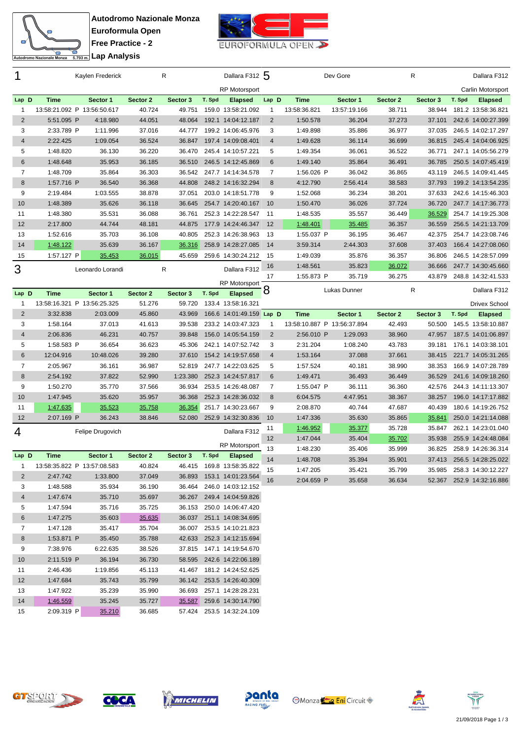



| 1                   |                             | Kaylen Frederick |                  | R                |        | Dallara F312 5                           |                |                             | Dev Gore     |          | R            |        | Dallara F312       |
|---------------------|-----------------------------|------------------|------------------|------------------|--------|------------------------------------------|----------------|-----------------------------|--------------|----------|--------------|--------|--------------------|
|                     |                             |                  |                  |                  |        | <b>RP Motorsport</b>                     |                |                             |              |          |              |        | Carlin Motorsport  |
| Lap D               | <b>Time</b>                 | Sector 1         | Sector 2         | Sector 3         | T. Spd | <b>Elapsed</b>                           | Lap D          | <b>Time</b>                 | Sector 1     | Sector 2 | Sector 3     | T. Spd | <b>Elapsed</b>     |
| $\mathbf{1}$        | 13:58:21.092 P 13:56:50.617 |                  | 40.724           | 49.751           |        | 159.0 13:58:21.092                       | $\mathbf{1}$   | 13:58:36.821                | 13:57:19.166 | 38.711   | 38.944       |        | 181.2 13:58:36.821 |
| $\overline{2}$      | 5:51.095 P                  | 4:18.980         | 44.051           | 48.064           |        | 192.1 14:04:12.187                       | $\overline{2}$ | 1:50.578                    | 36.204       | 37.273   | 37.101       |        | 242.6 14:00:27.399 |
| 3                   | 2:33.789 P                  | 1:11.996         | 37.016           | 44.777           |        | 199.2 14:06:45.976                       | 3              | 1:49.898                    | 35.886       | 36.977   | 37.035       |        | 246.5 14:02:17.297 |
| $\overline{4}$      | 2:22.425                    | 1:09.054         | 36.524           | 36.847           |        | 197.4 14:09:08.401                       | $\overline{4}$ | 1:49.628                    | 36.114       | 36.699   | 36.815       |        | 245.4 14:04:06.925 |
| 5                   | 1:48.820                    | 36.130           | 36.220           | 36.470           |        | 245.4 14:10:57.221                       | 5              | 1:49.354                    | 36.061       | 36.522   | 36.771       |        | 247.1 14:05:56.279 |
| 6                   | 1:48.648                    | 35.953           | 36.185           | 36.510           |        | 246.5 14:12:45.869                       | 6              | 1:49.140                    | 35.864       | 36.491   | 36.785       |        | 250.5 14:07:45.419 |
| $\overline{7}$      | 1:48.709                    | 35.864           | 36.303           | 36.542           |        | 247.7 14:14:34.578                       | 7              | 1:56.026 P                  | 36.042       | 36.865   | 43.119       |        | 246.5 14:09:41.445 |
| 8                   | 1:57.716 P                  | 36.540           | 36.368           | 44.808           |        | 248.2 14:16:32.294                       | 8              | 4:12.790                    | 2:56.414     | 38.583   | 37.793       |        | 199.2 14:13:54.235 |
| 9                   | 2:19.484                    | 1:03.555         | 38.878           | 37.051           |        | 203.0 14:18:51.778                       | 9              | 1:52.068                    | 36.234       | 38.201   | 37.633       |        | 242.6 14:15:46.303 |
| 10                  | 1:48.389                    | 35.626           | 36.118           | 36.645           |        | 254.7 14:20:40.167                       | 10             | 1:50.470                    | 36.026       | 37.724   | 36.720       |        | 247.7 14:17:36.773 |
| 11                  | 1:48.380                    | 35.531           | 36.088           | 36.761           |        | 252.3 14:22:28.547                       | 11             | 1:48.535                    | 35.557       | 36.449   | 36.529       |        | 254.7 14:19:25.308 |
| 12                  | 2:17.800                    | 44.744           | 48.181           | 44.875           |        | 177.9 14:24:46.347 12                    |                | 1:48.401                    | 35.485       | 36.357   | 36.559       |        | 256.5 14:21:13.709 |
| 13                  | 1:52.616                    | 35.703           | 36.108           | 40.805           |        | 252.3 14:26:38.963                       | -13            | 1:55.037 P                  | 36.195       | 36.467   | 42.375       |        | 254.7 14:23:08.746 |
| 14                  | 1:48.122                    | 35.639           | 36.167           | 36.316           |        | 258.9 14:28:27.085                       | 14             | 3:59.314                    | 2:44.303     | 37.608   | 37.403       |        | 166.4 14:27:08.060 |
| 15                  | 1:57.127 P                  | 35.453           | 36.015           | 45.659           |        | 259.6 14:30:24.212                       | 15             | 1:49.039                    | 35.876       | 36.357   | 36.806       |        | 246.5 14:28:57.099 |
| 3                   |                             | Leonardo Lorandi |                  | R                |        | Dallara F312                             | 16             | 1:48.561                    | 35.823       | 36.072   | 36.666       |        | 247.7 14:30:45.660 |
|                     |                             |                  |                  |                  |        | <b>RP Motorsport</b>                     | 17             | 1:55.873 P                  | 35.719       | 36.275   | 43.879       |        | 248.8 14:32:41.533 |
| Lap D               | <b>Time</b>                 | Sector 1         | Sector 2         | Sector 3         | T. Spd | <b>Elapsed</b>                           | ŏ              |                             | Lukas Dunner |          | $\mathsf{R}$ |        | Dallara F312       |
| 1                   | 13:58:16.321 P 13:56:25.325 |                  | 51.276           | 59.720           |        | 133.4 13:58:16.321                       |                |                             |              |          |              |        | Drivex School      |
| 2                   | 3:32.838                    | 2:03.009         | 45.860           | 43.969           |        | 166.6 14:01:49.159 Lap D                 |                | Time                        | Sector 1     | Sector 2 | Sector 3     | T. Spd | <b>Elapsed</b>     |
| 3                   | 1:58.164                    | 37.013           | 41.613           | 39.538           |        | 233.2 14:03:47.323                       | $\mathbf{1}$   | 13:58:10.887 P 13:56:37.894 |              | 42.493   | 50.500       |        | 145.5 13:58:10.887 |
| $\overline{4}$      | 2:06.836                    | 46.231           | 40.757           | 39.848           |        | 156.0 14:05:54.159                       | $\overline{2}$ | 2:56.010 P                  | 1:29.093     | 38.960   | 47.957       |        | 187.5 14:01:06.897 |
| 5                   | 1:58.583 P                  | 36.654           | 36.623           | 45.306           |        | 242.1 14:07:52.742                       | 3              | 2:31.204                    | 1:08.240     | 43.783   | 39.181       |        | 176.1 14:03:38.101 |
| 6                   | 12:04.916                   | 10:48.026        | 39.280           | 37.610           |        | 154.2 14:19:57.658                       | $\overline{4}$ | 1:53.164                    | 37.088       | 37.661   | 38.415       |        | 221.7 14:05:31.265 |
| $\overline{7}$      | 2:05.967                    | 36.161           | 36.987           | 52.819           |        | 247.7 14:22:03.625                       | 5              | 1:57.524                    | 40.181       | 38.990   | 38.353       |        | 166.9 14:07:28.789 |
| 8                   | 2:54.192                    | 37.822           | 52.990           | 1:23.380         |        | 252.3 14:24:57.817                       | 6              | 1:49.471                    | 36.493       | 36.449   | 36.529       |        | 241.6 14:09:18.260 |
| 9                   | 1:50.270                    | 35.770           | 37.566           | 36.934           |        | 253.5 14:26:48.087                       | $\overline{7}$ | 1:55.047 P                  | 36.111       | 36.360   | 42.576       |        | 244.3 14:11:13.307 |
| 10                  | 1:47.945                    |                  |                  |                  |        |                                          |                |                             |              |          |              |        | 196.0 14:17:17.882 |
| 11                  |                             | 35.620           | 35.957           | 36.368           |        | 252.3 14:28:36.032                       | 8              | 6:04.575                    | 4:47.951     | 38.367   | 38.257       |        |                    |
|                     | 1:47.635                    | 35.523           | 35.758           | 36.354           |        | 251.7 14:30:23.667                       | 9              | 2:08.870                    | 40.744       | 47.687   | 40.439       |        | 180.6 14:19:26.752 |
| 12                  | 2:07.169 P                  | 36.243           | 38.846           | 52.080           |        | 252.9 14:32:30.836                       | 10             | 1:47.336                    | 35.630       | 35.865   | 35.841       |        | 250.0 14:21:14.088 |
|                     |                             |                  |                  |                  |        |                                          | 11             | 1:46.952                    | 35.377       | 35.728   | 35.847       |        | 262.1 14:23:01.040 |
| 4                   |                             | Felipe Drugovich |                  |                  |        | Dallara F312                             | 12             | 1:47.044                    | 35.404       | 35.702   | 35.938       |        | 255.9 14:24:48.084 |
|                     |                             |                  |                  |                  |        | RP Motorsport                            | 13             | 1:48.230                    | 35.406       | 35.999   | 36.825       |        | 258.9 14:26:36.314 |
| Lap D               | <b>Time</b>                 | Sector 1         | Sector 2         | Sector 3         | T. Spd | <b>Elapsed</b>                           | 14             | 1:48.708                    | 35.394       | 35.901   | 37.413       |        | 256.5 14:28:25.022 |
| 1                   | 13:58:35.822 P 13:57:08.583 |                  | 40.824           | 46.415           |        | 169.8 13:58:35.822                       | 15             | 1:47.205                    | 35.421       | 35.799   | 35.985       |        | 258.3 14:30:12.227 |
| 2                   | 2:47.742                    | 1:33.800         | 37.049           | 36.893           |        | 153.1 14:01:23.564                       | 16             | 2:04.659 P                  | 35.658       | 36.634   | 52.367       |        | 252.9 14:32:16.886 |
| 3                   | 1:48.588                    | 35.934           | 36.190           | 36.464           |        | 246.0 14:03:12.152                       |                |                             |              |          |              |        |                    |
| $\overline{4}$<br>5 | 1:47.674<br>1:47.594        | 35.710<br>35.716 | 35.697<br>35.725 | 36.267<br>36.153 |        | 249.4 14:04:59.826<br>250.0 14:06:47.420 |                |                             |              |          |              |        |                    |





 1:47.275 35.603 35.635 36.037 251.1 14:08:34.695 1:47.128 35.417 35.704 36.007 253.5 14:10:21.823 1:53.871 P 35.450 35.788 42.633 252.3 14:12:15.694 7:38.976 6:22.635 38.526 37.815 147.1 14:19:54.670 2:11.519 P 36.194 36.730 58.595 242.6 14:22:06.189 2:46.436 1:19.856 45.113 41.467 181.2 14:24:52.625 1:47.684 35.743 35.799 36.142 253.5 14:26:40.309 1:47.922 35.239 35.990 36.693 257.1 14:28:28.231 1:46.559 35.245 35.727 35.587 259.6 14:30:14.790 2:09.319 P 35.210 36.685 57.424 253.5 14:32:24.109









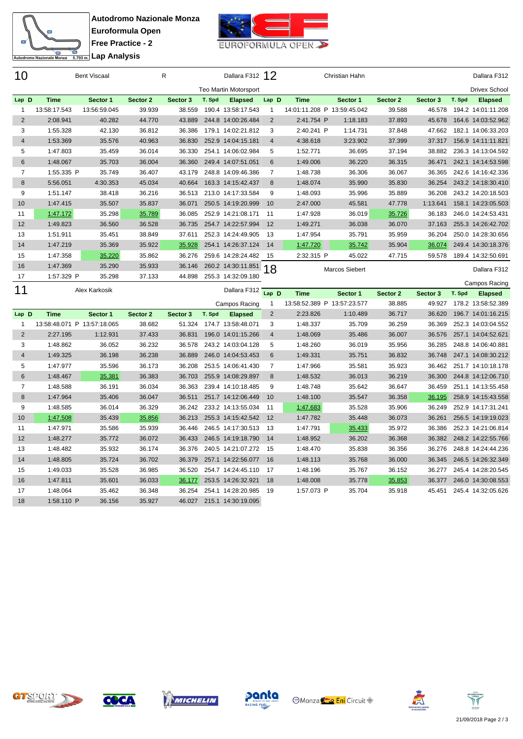



| 10             |              | <b>Bent Viscaal</b> |          | R        |        | Dallara F312 12              |       |                | Christian Hahn |          |          |        | Dallara F312         |
|----------------|--------------|---------------------|----------|----------|--------|------------------------------|-------|----------------|----------------|----------|----------|--------|----------------------|
|                |              |                     |          |          |        | <b>Teo Martin Motorsport</b> |       |                |                |          |          |        | <b>Drivex School</b> |
| Lap D          | <b>Time</b>  | Sector 1            | Sector 2 | Sector 3 | T. Spd | <b>Elapsed</b>               | Lap D | <b>Time</b>    | Sector 1       | Sector 2 | Sector 3 | T. Spd | <b>Elapsed</b>       |
|                | 13:58:17.543 | 13:56:59.045        | 39.939   | 38.559   |        | 190.4 13:58:17.543           |       | 14:01:11.208 P | 13:59:45.042   | 39.588   | 46.578   | 194.2  | 14:01:11.208         |
| 2              | 2:08.941     | 40.282              | 44.770   | 43.889   |        | 244.8 14:00:26.484           | 2     | 2:41.754 P     | 1:18.183       | 37.893   | 45.678   |        | 164.6 14:03:52.962   |
| 3              | 1:55.328     | 42.130              | 36.812   | 36.386   |        | 179.1 14:02:21.812           | 3     | 2:40.241 P     | 1:14.731       | 37.848   | 47.662   |        | 182.1 14:06:33.203   |
| $\overline{4}$ | 1:53.369     | 35.576              | 40.963   | 36.830   |        | 252.9 14:04:15.181           | 4     | 4:38.618       | 3:23.902       | 37.399   | 37.317   |        | 156.9 14:11:11.821   |
| 5              | 1:47.803     | 35.459              | 36.014   | 36.330   |        | 254.1 14:06:02.984           | 5     | 1:52.771       | 36.695         | 37.194   | 38.882   |        | 236.3 14:13:04.592   |
| 6              | 1:48.067     | 35.703              | 36.004   | 36.360   |        | 249.4 14:07:51.051           | 6     | 1:49.006       | 36.220         | 36.315   | 36.471   |        | 242.1 14:14:53.598   |
| 7              | 1:55.335 P   | 35.749              | 36.407   | 43.179   |        | 248.8 14:09:46.386           | 7     | 1:48.738       | 36.306         | 36.067   | 36.365   |        | 242.6 14:16:42.336   |
| 8              | 5:56.051     | 4:30.353            | 45.034   | 40.664   |        | 163.3 14:15:42.437           | 8     | 1:48.074       | 35.990         | 35.830   | 36.254   |        | 243.2 14:18:30.410   |
| 9              | 1:51.147     | 38.418              | 36.216   | 36.513   |        | 213.0 14:17:33.584           | 9     | 1:48.093       | 35.996         | 35.889   | 36.208   |        | 243.2 14:20:18.503   |
| 10             | 1:47.415     | 35.507              | 35.837   | 36.071   |        | 250.5 14:19:20.999           | 10    | 2:47.000       | 45.581         | 47.778   | 1:13.641 |        | 158.1 14:23:05.503   |
| 11             | 1:47.172     | 35.298              | 35.789   | 36.085   |        | 252.9 14:21:08.171           | 11    | 1:47.928       | 36.019         | 35.726   | 36.183   |        | 246.0 14:24:53.431   |
| 12             | 1:49.823     | 36.560              | 36.528   | 36.735   |        | 254.7 14:22:57.994           | 12    | 1:49.271       | 36.038         | 36.070   | 37.163   |        | 255.3 14:26:42.702   |
| 13             | 1:51.911     | 35.451              | 38.849   | 37.611   |        | 252.3 14:24:49.905           | 13    | 1:47.954       | 35.791         | 35.959   | 36.204   |        | 250.0 14:28:30.656   |
| 14             | 1:47.219     | 35.369              | 35.922   | 35.928   |        | 254.1 14:26:37.124           | 14    | 1:47.720       | 35.742         | 35.904   | 36.074   |        | 249.4 14:30:18.376   |
| 15             | 1:47.358     | 35.220              | 35.862   | 36.276   |        | 259.6 14:28:24.482           | 15    | 2:32.315 P     | 45.022         | 47.715   | 59.578   |        | 189.4 14:32:50.691   |
| 16             | 1:47.369     | 35.290              | 35.933   | 36.146   |        | 260.2 14:30:11.851           | 18    |                | Marcos Siebert |          |          |        | Dallara F312         |
| 17             | 1:57.329 P   | 35.298              | 37.133   | 44.898   |        | 255.3 14:32:09.180           |       |                |                |          |          |        | Campos Racing        |
| 11             |              | Alex Karkosik       |          |          |        | Dallara F312                 | Lap D | <b>Time</b>    | Sector 1       | Sector 2 | Sector 3 | T. Spd | <b>Elapsed</b>       |

|                |                   |              |          |          |        | Campos Racing      |                | 13:58:52.389 P 13:57:23.577 |          | 38.885 | 49.927 | 178.2 13:58:52.389 |
|----------------|-------------------|--------------|----------|----------|--------|--------------------|----------------|-----------------------------|----------|--------|--------|--------------------|
| Lap D          | <b>Time</b>       | Sector 1     | Sector 2 | Sector 3 | T. Spd | <b>Elapsed</b>     | $\overline{2}$ | 2:23.826                    | 1:10.489 | 36.717 | 36.620 | 196.7 14:01:16.215 |
|                | 13:58:48.071<br>P | 13:57:18.065 | 38.682   | 51.324   |        | 174.7 13:58:48.071 | 3              | 1:48.337                    | 35.709   | 36.259 | 36.369 | 252.3 14:03:04.552 |
| $\overline{2}$ | 2:27.195          | 1:12.931     | 37.433   | 36.831   |        | 196.0 14:01:15.266 | 4              | 1:48.069                    | 35.486   | 36.007 | 36.576 | 257.1 14:04:52.621 |
| 3              | 1:48.862          | 36.052       | 36.232   | 36.578   |        | 243.2 14:03:04.128 | 5              | 1:48.260                    | 36.019   | 35.956 | 36.285 | 248.8 14:06:40.881 |
| 4              | 1:49.325          | 36.198       | 36.238   | 36.889   |        | 246.0 14:04:53.453 | 6              | 1:49.331                    | 35.751   | 36.832 | 36.748 | 247.1 14:08:30.212 |
| 5              | 1:47.977          | 35.596       | 36.173   | 36.208   |        | 253.5 14:06:41.430 |                | 1:47.966                    | 35.581   | 35.923 | 36.462 | 251.7 14:10:18.178 |
| 6              | 1:48.467          | 35.381       | 36.383   | 36.703   |        | 255.9 14:08:29.897 | 8              | 1:48.532                    | 36.013   | 36.219 | 36.300 | 244.8 14:12:06.710 |
| 7              | 1:48.588          | 36.191       | 36.034   | 36.363   |        | 239.4 14:10:18.485 | 9              | 1:48.748                    | 35.642   | 36.647 | 36.459 | 251.1 14:13:55.458 |
| 8              | 1:47.964          | 35.406       | 36.047   | 36.511   |        | 251.7 14:12:06.449 | 10             | 1:48.100                    | 35.547   | 36.358 | 36.195 | 258.9 14:15:43.558 |
| 9              | 1:48.585          | 36.014       | 36.329   | 36.242   |        | 233.2 14:13:55.034 | 11             | 1:47.683                    | 35.528   | 35.906 | 36.249 | 252.9 14:17:31.241 |
| 10             | 1:47.508          | 35.439       | 35.856   | 36.213   |        | 255.3 14:15:42.542 | 12             | 1:47.782                    | 35.448   | 36.073 | 36.261 | 256.5 14:19:19.023 |
| 11             | 1:47.971          | 35.586       | 35.939   | 36.446   |        | 246.5 14:17:30.513 | 13             | 1:47.791                    | 35.433   | 35.972 | 36.386 | 252.3 14:21:06.814 |
| 12             | 1:48.277          | 35.772       | 36.072   | 36.433   |        | 246.5 14:19:18.790 | 14             | 1:48.952                    | 36.202   | 36.368 | 36.382 | 248.2 14:22:55.766 |
| 13             | 1:48.482          | 35.932       | 36.174   | 36.376   |        | 240.5 14:21:07.272 | 15             | 1:48.470                    | 35.838   | 36.356 | 36.276 | 248.8 14:24:44.236 |
| 14             | 1:48.805          | 35.724       | 36.702   | 36.379   | 257.1  | 14:22:56.077       | 16             | 1:48.113                    | 35.768   | 36.000 | 36.345 | 246.5 14:26:32.349 |
| 15             | 1:49.033          | 35.528       | 36.985   | 36.520   |        | 254.7 14:24:45.110 | 17             | 1:48.196                    | 35.767   | 36.152 | 36.277 | 245.4 14:28:20.545 |
| 16             | 1:47.811          | 35.601       | 36.033   | 36.177   |        | 253.5 14:26:32.921 | 18             | 1:48.008                    | 35.778   | 35.853 | 36.377 | 246.0 14:30:08.553 |
| 17             | 1:48.064          | 35.462       | 36.348   | 36.254   | 254.1  | 14:28:20.985       | 19             | 1:57.073 P                  | 35.704   | 35.918 | 45.451 | 245.4 14:32:05.626 |
| 18             | 1:58.110 P        | 36.156       | 35.927   | 46.027   | 215.1  | 14:30:19.095       |                |                             |          |        |        |                    |









**Monza Eni** Circuit



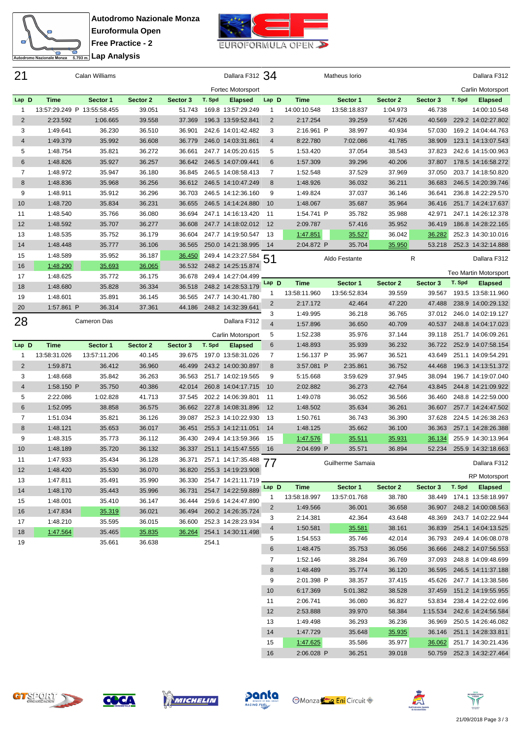



| 21             |              | Calan Williams              |               |          |        | Dallara F312 34       |                |                             | Matheus Iorio            |          |                    |        | Dallara F312                         |
|----------------|--------------|-----------------------------|---------------|----------|--------|-----------------------|----------------|-----------------------------|--------------------------|----------|--------------------|--------|--------------------------------------|
|                |              |                             |               |          |        | Fortec Motorsport     |                |                             |                          |          |                    |        | Carlin Motorsport                    |
| Lap D          | <b>Time</b>  | Sector 1                    | Sector 2      | Sector 3 | T. Spd | <b>Elapsed</b>        | Lap D          | <b>Time</b>                 | Sector 1                 | Sector 2 | Sector 3           | T. Spd | <b>Elapsed</b>                       |
| 1              |              | 13:57:29.249 P 13:55:58.455 | 39.051        | 51.743   |        | 169.8 13:57:29.249    | -1             | 14:00:10.548                | 13:58:18.837             | 1:04.973 | 46.738             |        | 14:00:10.548                         |
| $\overline{2}$ | 2:23.592     | 1:06.665                    | 39.558        | 37.369   |        | 196.3 13:59:52.841    | 2              | 2:17.254                    | 39.259                   | 57.426   | 40.569             |        | 229.2 14:02:27.802                   |
| 3              | 1:49.641     | 36.230                      | 36.510        | 36.901   |        | 242.6 14:01:42.482    | 3              | 2:16.961 P                  | 38.997                   | 40.934   | 57.030             |        | 169.2 14:04:44.763                   |
| $\overline{4}$ | 1:49.379     | 35.992                      | 36.608        | 36.779   |        | 246.0 14:03:31.861    | $\overline{4}$ | 8:22.780                    | 7:02.086                 | 41.785   | 38.909             |        | 123.1 14:13:07.543                   |
| 5              | 1:48.754     | 35.821                      | 36.272        | 36.661   |        | 247.7 14:05:20.615    | 5              | 1:53.420                    | 37.054                   | 38.543   | 37.823             |        | 242.6 14:15:00.963                   |
| 6              | 1:48.826     | 35.927                      | 36.257        | 36.642   |        | 246.5 14:07:09.441    | 6              | 1:57.309                    | 39.296                   | 40.206   | 37.807             |        | 178.5 14:16:58.272                   |
| 7              | 1:48.972     | 35.947                      | 36.180        | 36.845   |        | 246.5 14:08:58.413    | 7              | 1:52.548                    | 37.529                   | 37.969   | 37.050             |        | 203.7 14:18:50.820                   |
| 8              | 1:48.836     | 35.968                      | 36.256        | 36.612   |        | 246.5 14:10:47.249    | 8              | 1:48.926                    | 36.032                   | 36.211   | 36.683             |        | 246.5 14:20:39.746                   |
| 9              | 1:48.911     | 35.912                      | 36.296        | 36.703   |        | 246.5 14:12:36.160    | 9              | 1:49.824                    | 37.037                   | 36.146   | 36.641             |        | 236.8 14:22:29.570                   |
| 10             | 1:48.720     | 35.834                      | 36.231        | 36.655   |        | 246.5 14:14:24.880    | 10             | 1:48.067                    | 35.687                   | 35.964   | 36.416             |        | 251.7 14:24:17.637                   |
| 11             | 1:48.540     | 35.766                      | 36.080        | 36.694   |        | 247.1 14:16:13.420    | 11             | 1:54.741 P                  | 35.782                   | 35.988   | 42.971             |        | 247.1 14:26:12.378                   |
| 12             | 1:48.592     | 35.707                      | 36.277        | 36.608   |        | 247.7 14:18:02.012    | 12             | 2:09.787                    | 57.416                   | 35.952   | 36.419             |        | 186.8 14:28:22.165                   |
| 13             | 1:48.535     | 35.752                      | 36.179        | 36.604   |        | 247.7 14:19:50.547    | 13             | 1:47.851                    | 35.527                   | 36.042   | 36.282             |        | 252.3 14:30:10.016                   |
| 14             | 1:48.448     | 35.777                      | 36.106        | 36.565   |        | 250.0 14:21:38.995    | 14             | 2:04.872 P                  | 35.704                   | 35.950   | 53.218             |        | 252.3 14:32:14.888                   |
| 15             | 1:48.589     | 35.952                      | 36.187        | 36.450   |        | 249.4 14:23:27.584    | 51             |                             | Aldo Festante            |          | R                  |        | Dallara F312                         |
| 16             | 1:48.290     | 35.693                      | 36.065        | 36.532   |        | 248.2 14:25:15.874    |                |                             |                          |          |                    |        |                                      |
| 17             | 1:48.625     | 35.772                      | 36.175        | 36.678   |        | 249.4 14:27:04.499    |                |                             |                          |          |                    |        | Teo Martin Motorsport                |
| 18             | 1:48.680     | 35.828                      | 36.334        | 36.518   |        | 248.2 14:28:53.179    | Lap D          | <b>Time</b>                 | Sector 1                 | Sector 2 | Sector 3           | T. Spd | <b>Elapsed</b>                       |
| 19             | 1:48.601     | 35.891                      | 36.145        | 36.565   |        | 247.7 14:30:41.780    |                | 13:58:11.960                | 13:56:52.834             | 39.559   | 39.567             |        | 193.5 13:58:11.960                   |
| 20             | 1:57.861 P   | 36.314                      | 37.361        | 44.186   |        | 248.2 14:32:39.641    | 2              | 2:17.172                    | 42.464                   | 47.220   | 47.488             |        | 238.9 14:00:29.132                   |
|                |              | <b>Cameron Das</b>          |               |          |        | Dallara F312          | 3              | 1:49.995                    | 36.218                   | 36.765   | 37.012             |        | 246.0 14:02:19.127                   |
| 28             |              |                             |               |          |        |                       | $\overline{4}$ | 1:57.896                    | 36.650                   | 40.709   | 40.537             |        | 248.8 14:04:17.023                   |
|                |              |                             |               |          |        | Carlin Motorsport     | 5              | 1:52.238                    | 35.976                   | 37.144   | 39.118             |        | 251.7 14:06:09.261                   |
| Lap D          | <b>Time</b>  | Sector 1                    | Sector 2      | Sector 3 | T. Spd | <b>Elapsed</b>        | 6              | 1:48.893                    | 35.939                   | 36.232   | 36.722             |        | 252.9 14:07:58.154                   |
| 1              | 13:58:31.026 | 13:57:11.206                | 40.145        | 39.675   |        | 197.0 13:58:31.026    | $\overline{7}$ | 1:56.137 P                  | 35.967                   | 36.521   | 43.649             |        | 251.1 14:09:54.291                   |
| $\overline{2}$ | 1:59.871     | 36.412                      | 36.960        | 46.499   |        | 243.2 14:00:30.897    | 8              | 3:57.081 P                  | 2:35.861                 | 36.752   | 44.468             |        | 196.3 14:13:51.372                   |
| 3              | 1:48.668     | 35.842                      | 36.263        | 36.563   |        | 251.7 14:02:19.565    | 9              | 5:15.668                    | 3:59.629                 | 37.945   | 38.094             |        | 196.7 14:19:07.040                   |
| $\overline{4}$ | 1:58.150 P   | 35.750                      | 40.386        | 42.014   |        | 260.8 14:04:17.715    | 10             | 2:02.882                    | 36.273                   | 42.764   | 43.845             |        | 244.8 14:21:09.922                   |
| 5              | 2:22.086     | 1:02.828                    | 41.713        | 37.545   |        | 202.2 14:06:39.801    | -11            | 1:49.078                    | 36.052                   | 36.566   | 36.460             |        | 248.8 14:22:59.000                   |
| 6              | 1:52.095     | 38.858                      | 36.575        | 36.662   |        | 227.8 14:08:31.896    | 12             | 1:48.502                    | 35.634                   | 36.261   | 36.607             |        | 257.7 14:24:47.502                   |
| $\overline{7}$ | 1:51.034     | 35.821                      | 36.126        | 39.087   |        | 252.3 14:10:22.930    | -13            | 1:50.761                    | 36.743                   | 36.390   | 37.628             |        | 224.5 14:26:38.263                   |
| 8              | 1:48.121     | 35.653                      | 36.017        | 36.451   |        | 255.3 14:12:11.051    | 14             | 1:48.125                    | 35.662                   | 36.100   | 36.363             |        | 257.1 14:28:26.388                   |
| 9              | 1:48.315     | 35.773                      | 36.112        | 36.430   |        | 249.4 14:13:59.366    | 15             | 1:47.576                    | 35.511                   | 35.931   | 36.134             |        | 255.9 14:30:13.964                   |
| 10             | 1:48.189     | 35.720                      | 36.132        | 36.337   |        | 251.1 14:15:47.555    | 16             | 2:04.699 P                  | 35.571                   | 36.894   | 52.234             |        | 255.9 14:32:18.663                   |
| 11             | 1:47.933     | 35.434                      | 36.128        | 36.371   |        | 257.1 14:17:35.488 77 | $\prime\prime$ |                             | Guilherme Samaia         |          |                    |        | Dallara F312                         |
| 12             | 1:48.420     | 35.530                      | 36.070        | 36.820   |        | 255.3 14:19:23.908    |                |                             |                          |          |                    |        | <b>RP Motorsport</b>                 |
| 13             | 1:47.811     | 35.491                      | 35.990        | 36.330   |        | 254.7 14:21:11.719    |                |                             |                          | Sector 2 |                    | T. Spd |                                      |
| 14             | 1:48.170     | 35.443                      | 35.996        | 36.731   |        | 254.7 14:22:59.889    | Lap D<br>1     | <b>Time</b><br>13:58:18.997 | Sector 1<br>13:57:01.768 | 38.780   | Sector 3<br>38.449 |        | <b>Elapsed</b><br>174.1 13:58:18.997 |
| 15             | 1:48.001     | 35.410                      | 36.147        | 36.444   |        | 259.6 14:24:47.890    | 2              | 1:49.566                    | 36.001                   | 36.658   | 36.907             |        | 248.2 14:00:08.563                   |
| 16             | 1:47.834     | 35.319                      | 36.021        | 36.494   |        | 260.2 14:26:35.724    | 3              | 2:14.381                    | 42.364                   | 43.648   | 48.369             |        | 243.7 14:02:22.944                   |
| 17             | 1:48.210     | 35.595                      | 36.015        | 36.600   |        | 252.3 14:28:23.934    |                |                             |                          | 38.161   |                    |        |                                      |
| 18             | 1:47.564     | 35.465                      | <u>35.835</u> | 36.264   |        | 254.1 14:30:11.498    | 4              | 1:50.581                    | 35.581                   |          |                    |        | 36.839 254.1 14:04:13.525            |
| 19             |              | 35.661                      | 36.638        |          | 254.1  |                       | 5              | 1:54.553                    | 35.746                   | 42.014   | 36.793             |        | 249.4 14:06:08.078                   |
|                |              |                             |               |          |        |                       | 6              | 1:48.475                    | 35.753                   | 36.056   | 36.666             |        | 248.2 14:07:56.553                   |
|                |              |                             |               |          |        |                       | $\overline{7}$ | 1:52.146                    | 38.284                   | 36.769   | 37.093             |        | 248.8 14:09:48.699                   |
|                |              |                             |               |          |        |                       | 8              | 1:48.489                    | 35.774                   | 36.120   | 36.595             |        | 246.5 14:11:37.188                   |
|                |              |                             |               |          |        |                       | 9              | 2:01.398 P                  | 38.357                   | 37.415   | 45.626             |        | 247.7 14:13:38.586                   |
|                |              |                             |               |          |        |                       | 10             | 6:17.369                    | 5:01.382                 | 38.528   | 37.459             |        | 151.2 14:19:55.955                   |
|                |              |                             |               |          |        |                       | 11             | 2:06.741                    | 36.080                   | 36.827   | 53.834             |        | 238.4 14:22:02.696                   |
|                |              |                             |               |          |        |                       | 12             | 2:53.888                    | 39.970                   | 58.384   | 1:15.534           |        | 242.6 14:24:56.584                   |
|                |              |                             |               |          |        |                       | 13             | 1:49.498                    | 36.293                   | 36.236   | 36.969             |        | 250.5 14:26:46.082                   |
|                |              |                             |               |          |        |                       | 14             | 1:47.729                    | 35.648                   | 35.935   |                    |        | 36.146 251.1 14:28:33.811            |









**Monza Eni** Circuit



 1:47.625 35.586 35.977 36.062 251.7 14:30:21.436 2:06.028 P 36.251 39.018 50.759 252.3 14:32:27.464

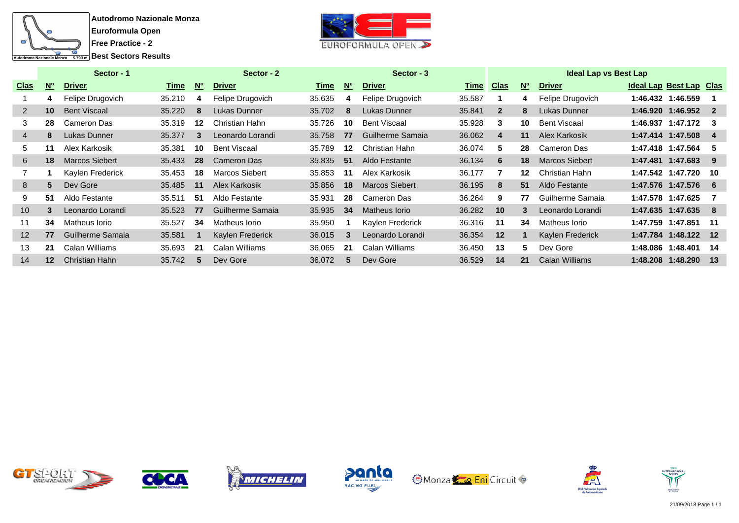



|                   |           | Sector - 1            |        |           | Sector - 2            |        |                  | Sector - 3            |             |                |                  | <b>Ideal Lap vs Best Lap</b> |                         |                 |
|-------------------|-----------|-----------------------|--------|-----------|-----------------------|--------|------------------|-----------------------|-------------|----------------|------------------|------------------------------|-------------------------|-----------------|
| <b>Clas</b>       | <b>No</b> | <b>Driver</b>         | Time   | <b>N°</b> | <b>Driver</b>         | Time   | <b>N°</b>        | <b>Driver</b>         | <b>Time</b> | <b>Clas</b>    | <b>No</b>        | <b>Driver</b>                | Ideal Lap Best Lap Clas |                 |
|                   | 4         | Felipe Drugovich      | 35.210 | 4         | Felipe Drugovich      | 35.635 | 4                | Felipe Drugovich      | 35.587      |                | 4                | Felipe Drugovich             | 1:46.432 1:46.559       |                 |
| 2                 | 10        | <b>Bent Viscaal</b>   | 35.220 | 8         | Lukas Dunner          | 35.702 | 8                | Lukas Dunner          | 35.841      | $\overline{2}$ | 8                | Lukas Dunner                 | 1:46.920 1:46.952       | $\overline{2}$  |
| 3                 | 28        | Cameron Das           | 35.319 | 12        | Christian Hahn        | 35.726 | 10               | <b>Bent Viscaal</b>   | 35.928      | 3              | 10               | <b>Bent Viscaal</b>          | 1:46.937 1:47.172       | -3              |
| 4                 | 8         | Lukas Dunner          | 35.377 | 3         | Leonardo Lorandi      | 35.758 | 77               | Guilherme Samaia      | 36.062      | 4              | 11               | Alex Karkosik                | 1:47.414 1:47.508       | -4              |
| 5                 | 11        | Alex Karkosik         | 35.381 | 10        | <b>Bent Viscaal</b>   | 35.789 | 12 <sup>12</sup> | Christian Hahn        | 36.074      | 5.             | 28               | Cameron Das                  | 1:47.418 1:47.564       | -5              |
| 6                 | 18        | <b>Marcos Siebert</b> | 35.433 | 28        | Cameron Das           | 35.835 | 51               | Aldo Festante         | 36.134      | 6              | 18               | <b>Marcos Siebert</b>        | 1:47.481 1:47.683       | 9               |
|                   |           | Kaylen Frederick      | 35.453 | 18        | <b>Marcos Siebert</b> | 35.853 | 11               | Alex Karkosik         | 36.177      |                | 12 <sup>12</sup> | Christian Hahn               | 1:47.542 1:47.720       | 10              |
| 8                 | 5         | Dev Gore              | 35.485 | 11        | Alex Karkosik         | 35.856 | 18               | <b>Marcos Siebert</b> | 36.195      | 8              | 51               | Aldo Festante                | 1:47.576 1:47.576       | - 6             |
| 9                 | 51        | Aldo Festante         | 35.511 | -51       | Aldo Festante         | 35.931 | 28               | Cameron Das           | 36.264      | 9              | 77               | Guilherme Samaia             | 1:47.578 1:47.625       |                 |
| 10 <sup>1</sup>   | 3         | Leonardo Lorandi      | 35.523 | 77        | Guilherme Samaia      | 35.935 | 34               | Matheus Iorio         | 36.282      | 10             | 3                | Leonardo Lorandi             | 1:47.635 1:47.635       | -8              |
| 11                | 34        | Matheus Iorio         | 35.527 | 34        | Matheus Iorio         | 35.950 |                  | Kaylen Frederick      | 36.316      | 11             | 34               | Matheus Iorio                | 1:47.759 1:47.851       | -11             |
| $12 \overline{ }$ | 77        | Guilherme Samaia      | 35.581 |           | Kaylen Frederick      | 36.015 | 3                | Leonardo Lorandi      | 36.354      | 12             |                  | Kaylen Frederick             | 1:47.784 1:48.122       | $\overline{12}$ |
| 13                | 21        | Calan Williams        | 35.693 | -21       | Calan Williams        | 36.065 | 21               | Calan Williams        | 36.450      | 13             | 5.               | Dev Gore                     | 1:48.086 1:48.401       | -14             |
| 14                | $12 \,$   | Christian Hahn        | 35.742 |           | Dev Gore              | 36.072 | 5                | Dev Gore              | 36.529      | 14             | 21               | <b>Calan Williams</b>        | 1:48.208 1:48.290 13    |                 |













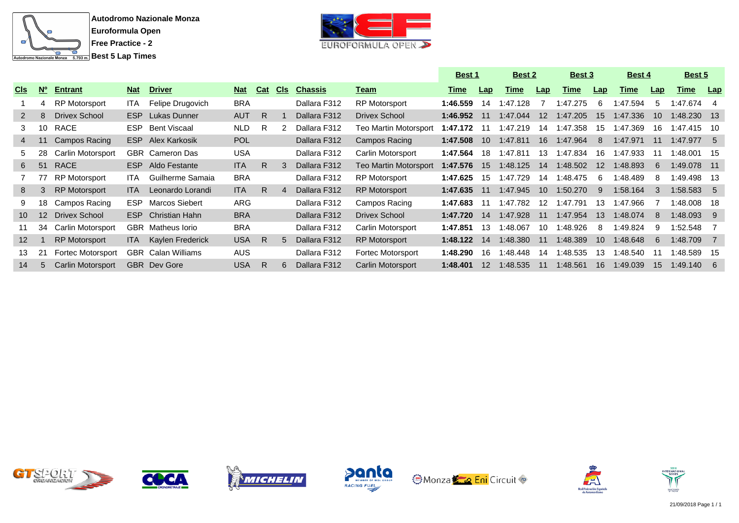



|                 |                 |                          |            |                           |            |            |            |                |                              | <b>Best 1</b> |                  | <b>Best 2</b> |                 | <b>Best 3</b> |                 | Best 4      |                 | Best 5       |      |
|-----------------|-----------------|--------------------------|------------|---------------------------|------------|------------|------------|----------------|------------------------------|---------------|------------------|---------------|-----------------|---------------|-----------------|-------------|-----------------|--------------|------|
| <b>CIS</b>      | $N^{\circ}$     | <b>Entrant</b>           | <b>Nat</b> | <b>Driver</b>             | <b>Nat</b> | <b>Cat</b> | <b>CIS</b> | <b>Chassis</b> | <u>Team</u>                  | <u>Time</u>   | Lap              | Time          | Lap             | <u>Time</u>   | Lap             | <u>Time</u> | Lap             | <u>Time</u>  | Lap  |
|                 | 4               | <b>RP Motorsport</b>     | ITA        | Felipe Drugovich          | <b>BRA</b> |            |            | Dallara F312   | <b>RP Motorsport</b>         | 1:46.559      | 14               | 1:47.128      |                 | 1:47.275      | -6              | 1:47.594    | 5               | 1:47.674     | -4   |
| $\mathbf{2}$    | 8               | Drivex School            | ESP        | Lukas Dunner              | <b>AUT</b> | R          |            | Dallara F312   | <b>Drivex School</b>         | 1:46.952      | 11               | 1:47.044      | 12 <sup>2</sup> | 1:47.205      | 15              | 1:47.336    | 10 <sup>1</sup> | 1:48.230 13  |      |
| 3               | 10              | RACE                     | ESP.       | Bent Viscaal              | <b>NLD</b> | R          | 2          | Dallara F312   | Teo Martin Motorsport        | 1:47.172      | -11              | 1:47.219      | 14              | 1:47.358      | 15              | 1:47.369    | 16.             | 1:47.415     | - 10 |
| 4               | 11              | Campos Racing            | ESP.       | Alex Karkosik             | <b>POL</b> |            |            | Dallara F312   | Campos Racing                | 1:47.508      | 10               | 1:47.811      | 16              | 1:47.964      | 8               | 1:47.971    | 11              | 1:47.977     | -5   |
| 5.              | 28              | Carlin Motorsport        |            | <b>GBR</b> Cameron Das    | <b>USA</b> |            |            | Dallara F312   | Carlin Motorsport            | 1:47.564      | 18               | 1:47.811      | 13              | 1:47.834      | 16              | 1:47.933    |                 | 1:48.001     | - 15 |
| 6               | 51              | RACE                     | ESP.       | Aldo Festante             | <b>ITA</b> | R.         | 3          | Dallara F312   | <b>Teo Martin Motorsport</b> | 1:47.576      | 15               | 1:48.125      | 14              | 1:48.502      | 12 <sup>2</sup> | 1:48.893    | 6               | 1:49.078 11  |      |
|                 | 77              | <b>RP Motorsport</b>     | ITA.       | Guilherme Samaia          | <b>BRA</b> |            |            | Dallara F312   | <b>RP Motorsport</b>         | 1:47.625      | 15               | 1:47.729      | 14              | 1:48.475      | 6               | 1:48.489    | 8               | 1:49.498 13  |      |
| 8               | 3               | <b>RP Motorsport</b>     | <b>ITA</b> | Leonardo Lorandi          | <b>ITA</b> | R.         | 4          | Dallara F312   | <b>RP Motorsport</b>         | 1:47.635      | 11               | 1:47.945      | 10              | 1:50.270      | 9               | 1:58.164    | 3               | $1:58.583$ 5 |      |
| 9               | 18              | Campos Racing            | ESP.       | <b>Marcos Siebert</b>     | ARG        |            |            | Dallara F312   | Campos Racing                | 1:47.683      | 11               | 1:47.782      | 12              | 1:47.791      | 13              | 1:47.966    |                 | 1:48.008     | - 18 |
| 10 <sup>1</sup> | 12 <sup>2</sup> | Drivex School            | ESP.       | Christian Hahn            | <b>BRA</b> |            |            | Dallara F312   | <b>Drivex School</b>         | 1:47.720      | 14               | 1:47.928      | 11              | 1:47.954      | 13              | 1:48.074    | 8               | $1:48.093$ 9 |      |
| 11              | 34              | Carlin Motorsport        |            | <b>GBR</b> Matheus lorio  | <b>BRA</b> |            |            | Dallara F312   | Carlin Motorsport            | 1:47.851      | 13               | :48.067       | 10              | :48.926       | 8               | 1:49.824    | 9               | 1:52.548     |      |
| 12 <sup>2</sup> |                 | <b>RP Motorsport</b>     | ITA.       | Kaylen Frederick          | <b>USA</b> | R          | 5          | Dallara F312   | <b>RP Motorsport</b>         | 1:48.122      | 14               | 1:48.380      | 11              | 1:48.389      | 10 <sup>1</sup> | 1:48.648    | 6               | 1:48.709     |      |
| 13              | 21              | <b>Fortec Motorsport</b> |            | <b>GBR</b> Calan Williams | <b>AUS</b> |            |            | Dallara F312   | Fortec Motorsport            | 1:48.290      | 16.              | 1:48.448      | 14              | :48.535       | 13              | :48.540     |                 | 1:48.589     | -15  |
| 14              | 5               | <b>Carlin Motorsport</b> |            | <b>GBR</b> Dev Gore       | <b>USA</b> | R.         | 6          | Dallara F312   | Carlin Motorsport            | 1:48.401      | 12 <sup>12</sup> | 1:48.535      | 11              | 1:48.561      | 16              | 1:49.039    | 15              | 1:49.140     | -6   |













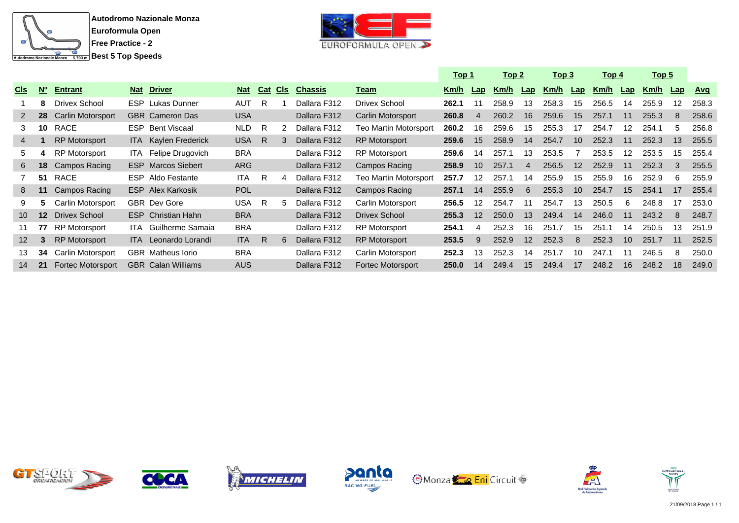



|                 |                 |                          |            |                             |            |     |            |                |                          | <u> Top 1</u> |     | <u>Top 2</u> |                | <u> Top 3</u> |                | <u> Top 4</u> |     | <u>Top 5</u> |                |            |
|-----------------|-----------------|--------------------------|------------|-----------------------------|------------|-----|------------|----------------|--------------------------|---------------|-----|--------------|----------------|---------------|----------------|---------------|-----|--------------|----------------|------------|
| <b>CIS</b>      | $N^{\circ}$     | <b>Entrant</b>           | <b>Nat</b> | <b>Driver</b>               | <b>Nat</b> | Cat | <b>CIS</b> | <b>Chassis</b> | <u>Team</u>              | Km/h          | Lap | Km/h         | Lap            | Km/h          | $\mathbf{Lap}$ | Km/h          | Lap | Km/h         | $\mathsf{Lap}$ | <u>Avq</u> |
|                 | 8               | <b>Drivex School</b>     |            | <b>ESP</b> Lukas Dunner     | AUT        | R   |            | Dallara F312   | <b>Drivex School</b>     | 262.1         | 11  | 258.9        | 13             | 258.3         | 15             | 256.5         | 14  | 255.9        | 12             | 258.3      |
| $2^{\circ}$     | 28              | Carlin Motorsport        |            | <b>GBR</b> Cameron Das      | <b>USA</b> |     |            | Dallara F312   | Carlin Motorsport        | 260.8         | 4   | 260.2        | 16             | 259.6         | 15             | 257.1         | 11  | 255.3        | 8              | 258.6      |
| 3               | 10              | RACE                     | <b>ESP</b> | <b>Bent Viscaal</b>         | NLD        | R   |            | Dallara F312   | Teo Martin Motorsport    | 260.2         | 16  | 259.6        | 15             | 255.3         | 17             | 254.7         | 12  | 254.1        | 5              | 256.8      |
| 4               |                 | <b>RP Motorsport</b>     |            | <b>ITA</b> Kaylen Frederick | <b>USA</b> | R.  |            | Dallara F312   | <b>RP</b> Motorsport     | 259.6         | 15  | 258.9        | 14             | 254.7         | 10             | 252.3         | 11  | 252.3        | 13             | 255.5      |
| 5.              |                 | <b>RP Motorsport</b>     |            | ITA Felipe Drugovich        | <b>BRA</b> |     |            | Dallara F312   | <b>RP Motorsport</b>     | 259.6         | 14  | 257.1        | 13             | 253.5         |                | 253.5         | 12  | 253.5        | 15             | 255.4      |
| 6               | 18              | Campos Racing            |            | <b>ESP</b> Marcos Siebert   | <b>ARG</b> |     |            | Dallara F312   | Campos Racing            | 258.9         | 10  | 257.1        | $\overline{4}$ | 256.5         | 12             | 252.9         | 11  | 252.3        | 3              | 255.5      |
|                 | 51              | RACE                     |            | ESP Aldo Festante           | <b>ITA</b> | R   |            | Dallara F312   | Teo Martin Motorsport    | 257.7         | 12  | 257.1        | 14             | 255.9         | 15             | 255.9         | 16  | 252.9        | -6             | 255.9      |
| 8               | 11              | Campos Racing            |            | <b>ESP</b> Alex Karkosik    | <b>POL</b> |     |            | Dallara F312   | Campos Racing            | 257.1         | 14  | 255.9        | 6              | 255.3         | 10             | 254.7         | 15  | 254.1        | 17             | 255.4      |
| 9               | 5.              | Carlin Motorsport        |            | <b>GBR</b> Dev Gore         | USA        | -R  |            | Dallara F312   | Carlin Motorsport        | 256.5         | 12  | 254.7        | 11             | 254.7         | 13             | 250.5         | 6   | 248.8        | 17             | 253.0      |
| 10 <sup>°</sup> | 12 <sup>2</sup> | Drivex School            |            | <b>ESP</b> Christian Hahn   | <b>BRA</b> |     |            | Dallara F312   | <b>Drivex School</b>     | 255.3         | 12  | 250.0        | 13             | 249.4         | 14             | 246.0         | 11  | 243.2        | 8              | 248.7      |
| 11              | 77              | RP Motorsport            |            | ITA Guilherme Samaia        | <b>BRA</b> |     |            | Dallara F312   | <b>RP Motorsport</b>     | 254.1         | 4   | 252.3        | 16             | 251.7         | 15             | 251           | 14  | 250.5        | 13             | 251.9      |
| 12 <sup>2</sup> | 3               | <b>RP Motorsport</b>     |            | <b>ITA</b> Leonardo Lorandi | <b>ITA</b> | -R  | 6.         | Dallara F312   | <b>RP Motorsport</b>     | 253.5         | 9   | 252.9        | 12             | 252.3         | 8              | 252.3         | 10  | 251.7        | 11             | 252.5      |
| 13              | 34              | Carlin Motorsport        |            | <b>GBR</b> Matheus lorio    | <b>BRA</b> |     |            | Dallara F312   | Carlin Motorsport        | 252.3         | 13  | 252.3        | 14             | 251.7         | 10             | 247.1         | 11  | 246.5        | 8              | 250.0      |
| 14              | 21              | <b>Fortec Motorsport</b> |            | <b>GBR</b> Calan Williams   | <b>AUS</b> |     |            | Dallara F312   | <b>Fortec Motorsport</b> | 250.0         | 14  | 249.4        | 15             | 249.4         | 17             | 248.2         | 16  | 248.2        | 18             | 249.0      |













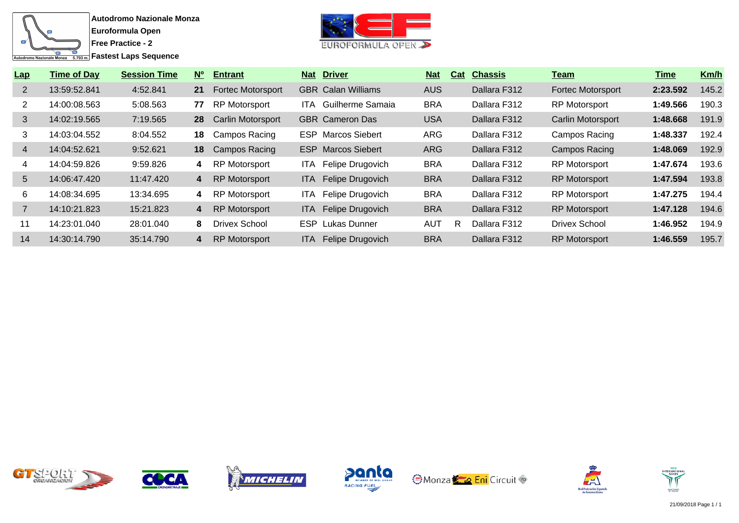



| Lap             | <b>Time of Day</b> | <b>Session Time</b> | $N^{\circ}$ | <b>Entrant</b>           |       | <b>Nat Driver</b>         | <u>Nat</u> | Cat | <b>Chassis</b> | <u>Team</u>          | Time     | Km/h  |
|-----------------|--------------------|---------------------|-------------|--------------------------|-------|---------------------------|------------|-----|----------------|----------------------|----------|-------|
| 2               | 13:59:52.841       | 4:52.841            | 21          | <b>Fortec Motorsport</b> |       | <b>GBR</b> Calan Williams | <b>AUS</b> |     | Dallara F312   | Fortec Motorsport    | 2:23.592 | 145.2 |
| 2               | 14:00:08.563       | 5:08.563            | 77          | <b>RP Motorsport</b>     | ITA.  | Guilherme Samaia          | <b>BRA</b> |     | Dallara F312   | <b>RP Motorsport</b> | 1:49.566 | 190.3 |
| 3               | 14:02:19.565       | 7:19.565            | 28          | <b>Carlin Motorsport</b> |       | <b>GBR</b> Cameron Das    | <b>USA</b> |     | Dallara F312   | Carlin Motorsport    | 1:48.668 | 191.9 |
| 3               | 14:03:04.552       | 8:04.552            | 18          | Campos Racing            |       | <b>ESP</b> Marcos Siebert | <b>ARG</b> |     | Dallara F312   | Campos Racing        | 1:48.337 | 192.4 |
| $\overline{4}$  | 14:04:52.621       | 9:52.621            | 18          | <b>Campos Racing</b>     |       | <b>ESP</b> Marcos Siebert | <b>ARG</b> |     | Dallara F312   | Campos Racing        | 1:48.069 | 192.9 |
| 4               | 14:04:59.826       | 9:59.826            | 4           | RP Motorsport            | ITA.  | Felipe Drugovich          | <b>BRA</b> |     | Dallara F312   | <b>RP Motorsport</b> | 1:47.674 | 193.6 |
| $5\overline{)}$ | 14:06:47.420       | 11:47.420           | 4           | <b>RP Motorsport</b>     | ITA.  | Felipe Drugovich          | <b>BRA</b> |     | Dallara F312   | <b>RP Motorsport</b> | 1:47.594 | 193.8 |
| 6               | 14:08:34.695       | 13:34.695           | 4           | <b>RP Motorsport</b>     | ITA.  | Felipe Drugovich          | <b>BRA</b> |     | Dallara F312   | <b>RP Motorsport</b> | 1:47.275 | 194.4 |
|                 | 14:10:21.823       | 15:21.823           | 4           | <b>RP Motorsport</b>     | ITA I | Felipe Drugovich          | <b>BRA</b> |     | Dallara F312   | <b>RP Motorsport</b> | 1:47.128 | 194.6 |
| 11              | 14:23:01.040       | 28:01.040           | 8           | Drivex School            |       | <b>ESP</b> Lukas Dunner   | <b>AUT</b> | R   | Dallara F312   | <b>Drivex School</b> | 1:46.952 | 194.9 |
| 14              | 14:30:14.790       | 35:14.790           | 4           | <b>RP Motorsport</b>     | ITA.  | Felipe Drugovich          | <b>BRA</b> |     | Dallara F312   | <b>RP Motorsport</b> | 1:46.559 | 195.7 |













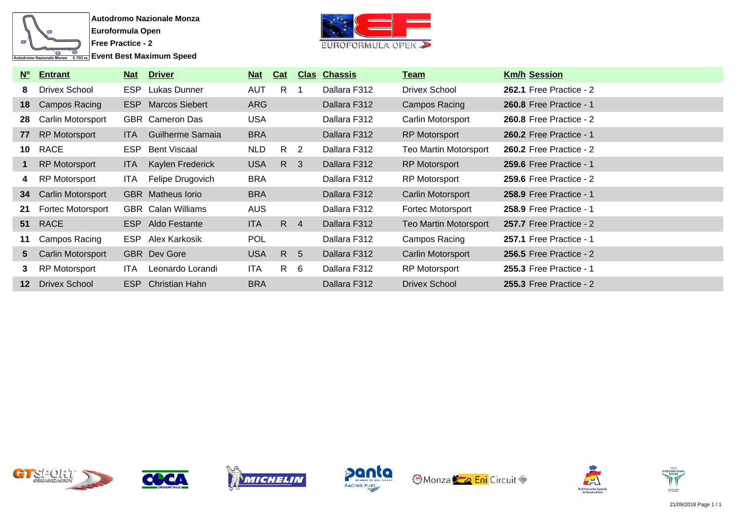

**Event Best Maximum Speed** 



| $N^{\circ}$ | <b>Entrant</b>           | <b>Nat</b> | <b>Driver</b>             | Nat        | Cat             |                | <b>Clas Chassis</b> | <u>Team</u>                  | <b>Km/h Session</b>            |
|-------------|--------------------------|------------|---------------------------|------------|-----------------|----------------|---------------------|------------------------------|--------------------------------|
| 8           | Drivex School            | <b>ESP</b> | Lukas Dunner              | <b>AUT</b> | $R_{\parallel}$ | -1             | Dallara F312        | Drivex School                | <b>262.1 Free Practice - 2</b> |
| 18          | Campos Racing            | <b>ESP</b> | Marcos Siebert            | <b>ARG</b> |                 |                | Dallara F312        | Campos Racing                | <b>260.8 Free Practice - 1</b> |
| 28          | <b>Carlin Motorsport</b> |            | <b>GBR</b> Cameron Das    | <b>USA</b> |                 |                | Dallara F312        | Carlin Motorsport            | 260.8 Free Practice - 2        |
| 77          | <b>RP Motorsport</b>     | ITA.       | Guilherme Samaia          | <b>BRA</b> |                 |                | Dallara F312        | <b>RP Motorsport</b>         | <b>260.2 Free Practice - 1</b> |
| 10          | <b>RACE</b>              | <b>ESP</b> | Bent Viscaal              | <b>NLD</b> | $R_{\parallel}$ | $\overline{2}$ | Dallara F312        | <b>Teo Martin Motorsport</b> | 260.2 Free Practice - $2$      |
| 1.          | RP Motorsport            | ITA.       | Kaylen Frederick          | <b>USA</b> | $R_{\parallel}$ | $\mathbf{3}$   | Dallara F312        | <b>RP Motorsport</b>         | <b>259.6 Free Practice - 1</b> |
| 4           | RP Motorsport            | ITA.       | Felipe Drugovich          | <b>BRA</b> |                 |                | Dallara F312        | <b>RP Motorsport</b>         | 259.6 Free Practice - $2$      |
| 34          | <b>Carlin Motorsport</b> |            | <b>GBR</b> Matheus lorio  | <b>BRA</b> |                 |                | Dallara F312        | Carlin Motorsport            | <b>258.9 Free Practice - 1</b> |
| 21          | Fortec Motorsport        |            | <b>GBR</b> Calan Williams | <b>AUS</b> |                 |                | Dallara F312        | <b>Fortec Motorsport</b>     | <b>258.9 Free Practice - 1</b> |
| 51          | <b>RACE</b>              | ESP        | Aldo Festante             | <b>ITA</b> | R 4             |                | Dallara F312        | <b>Teo Martin Motorsport</b> | 257.7 Free Practice - 2        |
| 11          | Campos Racing            | ESP.       | Alex Karkosik             | <b>POL</b> |                 |                | Dallara F312        | Campos Racing                | <b>257.1 Free Practice - 1</b> |
| 5           | <b>Carlin Motorsport</b> |            | <b>GBR</b> Dev Gore       | <b>USA</b> | R               | - 5            | Dallara F312        | Carlin Motorsport            | 256.5 Free Practice - $2$      |
| 3           | RP Motorsport            | <b>ITA</b> | Leonardo Lorandi          | ITA        | $\mathsf{R}$    | - 6            | Dallara F312        | <b>RP Motorsport</b>         | <b>255.3 Free Practice - 1</b> |
| $12 \,$     | <b>Drivex School</b>     | ESP        | Christian Hahn            | <b>BRA</b> |                 |                | Dallara F312        | <b>Drivex School</b>         | <b>255.3 Free Practice - 2</b> |













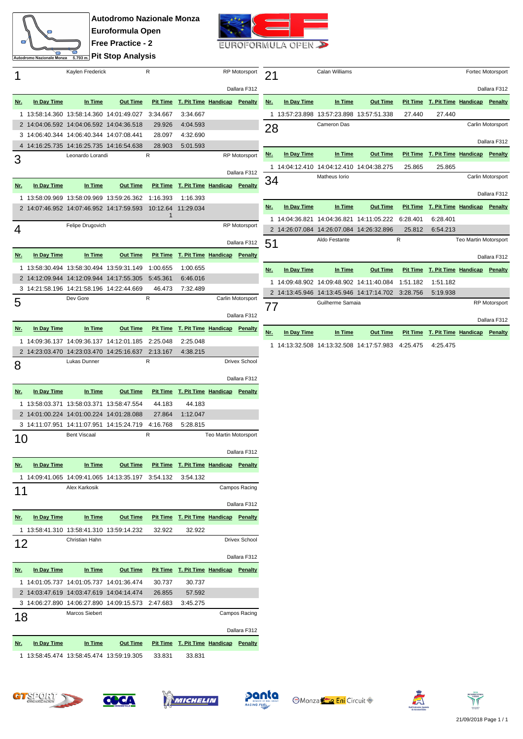

**Autodromo Nazionale Monza Euroformula Open Free Practice - 2 Pit Stop Analysis**



**21** Calan Williams **Fortec Motorsport** 

**Nr. In Day Time In Time Out Time Pit Time T. Pit Time Handicap Penalty**

**28** Cameron Das Cameron Das Carlin Motorsport

**Nr. In Day Time In Time Out Time Pit Time T. Pit Time Handicap Penalty**

**34** Matheus Iorio Carlin Motorsport Carlin Motorsport

**Nr. In Day Time In Time Out Time Pit Time T. Pit Time Handicap Penalty**

 $51$  Aldo Festante R R Teo Martin Motorsport

**Nr. In Day Time In Time Out Time Pit Time T. Pit Time Handicap Penalty**

TT Guilherme Samaia RP Motorsport RP Motorsport

**Nr. In Day Time In Time Out Time Pit Time T. Pit Time Handicap Penalty**

1 13:57:23.898 13:57:23.898 13:57:51.338 27.440 27.440

1 14:04:12.410 14:04:12.410 14:04:38.275 25.865 25.865

1 14:04:36.821 14:04:36.821 14:11:05.222 6:28.401 6:28.401 2 14:26:07.084 14:26:07.084 14:26:32.896 25.812 6:54.213

1 14:09:48.902 14:09:48.902 14:11:40.084 1:51.182 1:51.182 2 14:13:45.946 14:13:45.946 14:17:14.702 3:28.756 5:19.938

1 14:13:32.508 14:13:32.508 14:17:57.983 4:25.475 4:25.475

Dallara F312

Dallara F312

Dallara F312

Dallara F312

Dallara F312

|                | Autogromo Nazionale Monza<br>$5.793 m$ . |                                                                 |                 |                 |                                       |                       |                      |  |  |
|----------------|------------------------------------------|-----------------------------------------------------------------|-----------------|-----------------|---------------------------------------|-----------------------|----------------------|--|--|
|                |                                          | Kaylen Frederick                                                |                 | R               |                                       |                       | <b>RP Motorsport</b> |  |  |
|                |                                          |                                                                 |                 |                 |                                       |                       | Dallara F312         |  |  |
| <u>Nr.</u>     | In Day Time                              | In Time                                                         | <b>Out Time</b> | <b>Pit Time</b> | T. Pit Time Handicap                  |                       | Penalty              |  |  |
| 1              |                                          | 13:58:14.360 13:58:14.360 14:01:49.027                          |                 | 3:34.667        | 3:34.667                              |                       |                      |  |  |
|                |                                          | 2 14:04:06.592 14:04:06.592 14:04:36.518                        |                 | 29.926          | 4:04.593                              |                       |                      |  |  |
| 3              |                                          | 14:06:40.344 14:06:40.344 14:07:08.441                          |                 | 28.097          | 4:32.690                              |                       |                      |  |  |
| $\overline{4}$ |                                          | 14:16:25.735 14:16:25.735 14:16:54.638                          |                 | 28.903          | 5:01.593                              |                       |                      |  |  |
| 3              |                                          | Leonardo Lorandi                                                |                 | R               |                                       |                       | <b>RP Motorsport</b> |  |  |
|                |                                          |                                                                 |                 |                 |                                       |                       | Dallara F312         |  |  |
| <u>Nr.</u>     | In Day Time                              | In Time                                                         | <b>Out Time</b> | <b>Pit Time</b> | T. Pit Time Handicap                  |                       | Penalty              |  |  |
| 1              |                                          | 13:58:09.969 13:58:09.969 13:59:26.362                          |                 | 1:16.393        | 1:16.393                              |                       |                      |  |  |
|                |                                          | 2 14:07:46.952 14:07:46.952 14:17:59.593                        |                 | 10:12.64        | 11:29.034                             |                       |                      |  |  |
|                |                                          |                                                                 |                 | 1               |                                       |                       |                      |  |  |
| 4              |                                          | Felipe Drugovich                                                |                 |                 |                                       |                       | <b>RP Motorsport</b> |  |  |
|                |                                          |                                                                 |                 |                 |                                       |                       | Dallara F312         |  |  |
|                |                                          |                                                                 |                 |                 |                                       |                       |                      |  |  |
| <u>Nr.</u>     | In Day Time                              | In Time                                                         | <b>Out Time</b> | <b>Pit Time</b> | T. Pit Time Handicap                  |                       | Penalty              |  |  |
| 1              |                                          | 13:58:30.494 13:58:30.494 13:59:31.149                          |                 | 1:00.655        | 1:00.655                              |                       |                      |  |  |
|                |                                          | 2 14:12:09.944 14:12:09.944 14:17:55.305                        |                 | 5:45.361        | 6:46.016                              |                       |                      |  |  |
| 3              |                                          | 14:21:58.196 14:21:58.196 14:22:44.669                          |                 | 46.473          | 7:32.489                              |                       |                      |  |  |
| 5              |                                          | Dev Gore                                                        |                 | R               |                                       |                       | Carlin Motorsport    |  |  |
|                |                                          |                                                                 |                 |                 |                                       |                       | Dallara F312         |  |  |
| <u>Nr.</u>     | In Day Time                              | In Time                                                         | <b>Out Time</b> | <b>Pit Time</b> | T. Pit Time Handicap                  |                       | <b>Penalty</b>       |  |  |
| 1              |                                          | 14:09:36.137  14:09:36.137  14:12:01.185                        |                 | 2:25.048        | 2:25.048                              |                       |                      |  |  |
|                |                                          | 2 14:23:03.470 14:23:03.470 14:25:16.637                        |                 | 2:13.167        | 4:38.215                              |                       |                      |  |  |
|                |                                          |                                                                 |                 |                 |                                       |                       |                      |  |  |
|                |                                          | Lukas Dunner                                                    |                 | R               |                                       |                       | Drivex School        |  |  |
| 8              |                                          |                                                                 |                 |                 |                                       |                       | Dallara F312         |  |  |
| <u>Nr.</u>     | In Day Time                              | In Time                                                         | <b>Out Time</b> | <b>Pit Time</b> | <b>T. Pit Time Handicap</b>           |                       | Penalty              |  |  |
|                |                                          |                                                                 |                 |                 |                                       |                       |                      |  |  |
| 1              |                                          | 13:58:03.371 13:58:03.371 13:58:47.554                          |                 | 44.183          | 44.183                                |                       |                      |  |  |
|                |                                          | 2 14:01:00.224 14:01:00.224 14:01:28.088                        |                 | 27.864          | 1:12.047                              |                       |                      |  |  |
|                |                                          | 3 14:11:07.951 14:11:07.951 14:15:24.719<br><b>Bent Viscaal</b> |                 | 4:16.768<br>R   | 5:28.815                              | Teo Martin Motorsport |                      |  |  |
|                |                                          |                                                                 |                 |                 |                                       |                       |                      |  |  |
|                |                                          |                                                                 |                 |                 |                                       |                       | Dallara F312         |  |  |
| <u>Nr.</u>     | In Day Time                              | <u>In Time</u>                                                  | <b>Out Time</b> |                 | Pit Time T. Pit Time Handicap Penalty |                       |                      |  |  |
|                |                                          | 1 14:09:41.065 14:09:41.065 14:13:35.197                        |                 | 3:54.132        | 3:54.132                              |                       |                      |  |  |
|                |                                          | Alex Karkosik                                                   |                 |                 |                                       |                       | Campos Racing        |  |  |
| 11             |                                          |                                                                 |                 |                 |                                       |                       | Dallara F312         |  |  |
| <u>Nr.</u>     | In Day Time                              | <u>In Time</u>                                                  | <b>Out Time</b> |                 | Pit Time T. Pit Time Handicap Penalty |                       |                      |  |  |
| 1.             |                                          |                                                                 |                 |                 |                                       |                       |                      |  |  |
|                |                                          | 13:58:41.310 13:58:41.310 13:59:14.232<br>Christian Hahn        |                 | 32.922          | 32.922                                |                       | Drivex School        |  |  |
| 12             |                                          |                                                                 |                 |                 |                                       |                       |                      |  |  |
|                |                                          |                                                                 |                 |                 |                                       |                       | Dallara F312         |  |  |
| <u>Nr.</u>     | In Day Time                              | In Time                                                         | <b>Out Time</b> |                 | Pit Time T. Pit Time Handicap Penalty |                       |                      |  |  |
| 1.             |                                          | 14:01:05.737 14:01:05.737 14:01:36.474                          |                 | 30.737          | 30.737                                |                       |                      |  |  |
|                |                                          | 2 14:03:47.619 14:03:47.619 14:04:14.474                        |                 | 26.855          | 57.592                                |                       |                      |  |  |
|                |                                          | 3 14:06:27.890 14:06:27.890 14:09:15.573                        |                 | 2:47.683        | 3:45.275                              |                       |                      |  |  |
| 18             |                                          | Marcos Siebert                                                  |                 |                 |                                       |                       | Campos Racing        |  |  |
|                |                                          |                                                                 |                 |                 |                                       |                       | Dallara F312         |  |  |
| <u>Nr.</u>     | <u>In Day Time</u>                       | <u>In Time</u>                                                  | <b>Out Time</b> | <u>Pit Time</u> | T. Pit Time Handicap                  |                       | <b>Penalty</b>       |  |  |

| 33.831<br>1 13:58:45.474 13:58:45.474 13:59:19.305 33.831 |
|-----------------------------------------------------------|
|-----------------------------------------------------------|















| ست | INTERNATIONAL<br>÷<br>سن |  |
|----|--------------------------|--|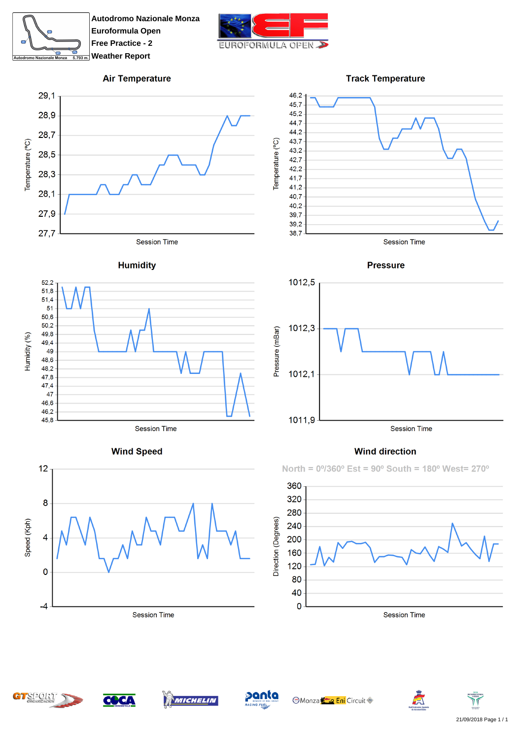

**Autodromo Nazionale Monza Euroformula Open Free Practice - 2 Weather Report** 



 $39,2$ 

 $38,7$ 

## **Air Temperature**



## **Humidity**



**Wind Speed** 





**Session Time** 



## **Wind direction**